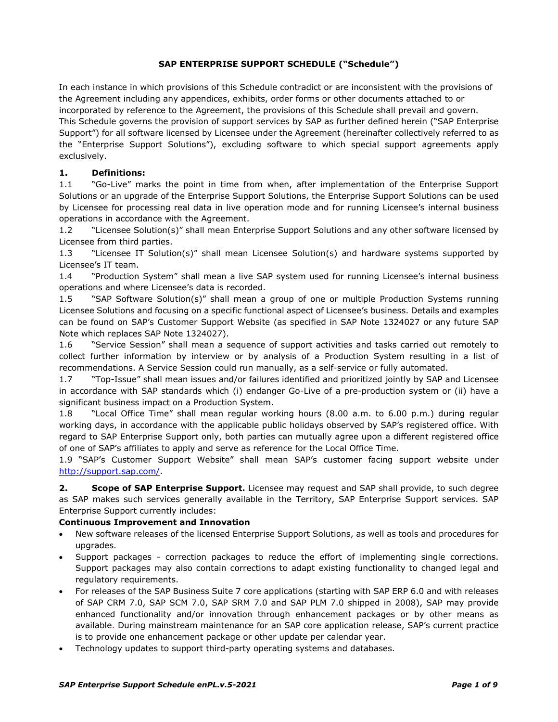### **SAP ENTERPRISE SUPPORT SCHEDULE ("Schedule")**

In each instance in which provisions of this Schedule contradict or are inconsistent with the provisions of the Agreement including any appendices, exhibits, order forms or other documents attached to or incorporated by reference to the Agreement, the provisions of this Schedule shall prevail and govern. This Schedule governs the provision of support services by SAP as further defined herein ("SAP Enterprise Support") for all software licensed by Licensee under the Agreement (hereinafter collectively referred to as the "Enterprise Support Solutions"), excluding software to which special support agreements apply exclusively.

### **1. Definitions:**

1.1 "Go-Live" marks the point in time from when, after implementation of the Enterprise Support Solutions or an upgrade of the Enterprise Support Solutions, the Enterprise Support Solutions can be used by Licensee for processing real data in live operation mode and for running Licensee's internal business operations in accordance with the Agreement.

1.2 "Licensee Solution(s)" shall mean Enterprise Support Solutions and any other software licensed by Licensee from third parties.

1.3 "Licensee IT Solution(s)" shall mean Licensee Solution(s) and hardware systems supported by Licensee's IT team.

1.4 "Production System" shall mean a live SAP system used for running Licensee's internal business operations and where Licensee's data is recorded.

1.5 "SAP Software Solution(s)" shall mean a group of one or multiple Production Systems running Licensee Solutions and focusing on a specific functional aspect of Licensee's business. Details and examples can be found on SAP's Customer Support Website (as specified in SAP Note 1324027 or any future SAP Note which replaces SAP Note 1324027).

1.6 "Service Session" shall mean a sequence of support activities and tasks carried out remotely to collect further information by interview or by analysis of a Production System resulting in a list of recommendations. A Service Session could run manually, as a self-service or fully automated.

1.7 "Top-Issue" shall mean issues and/or failures identified and prioritized jointly by SAP and Licensee in accordance with SAP standards which (i) endanger Go-Live of a pre-production system or (ii) have a significant business impact on a Production System.

1.8 "Local Office Time" shall mean regular working hours (8.00 a.m. to 6.00 p.m.) during regular working days, in accordance with the applicable public holidays observed by SAP's registered office. With regard to SAP Enterprise Support only, both parties can mutually agree upon a different registered office of one of SAP's affiliates to apply and serve as reference for the Local Office Time.

1.9 "SAP's Customer Support Website" shall mean SAP's customer facing support website under [http://support.sap.com/.](http://support.sap.com/)

**2. Scope of SAP Enterprise Support.** Licensee may request and SAP shall provide, to such degree as SAP makes such services generally available in the Territory, SAP Enterprise Support services. SAP Enterprise Support currently includes:

### **Continuous Improvement and Innovation**

- New software releases of the licensed Enterprise Support Solutions, as well as tools and procedures for upgrades.
- Support packages correction packages to reduce the effort of implementing single corrections. Support packages may also contain corrections to adapt existing functionality to changed legal and regulatory requirements.
- For releases of the SAP Business Suite 7 core applications (starting with SAP ERP 6.0 and with releases of SAP CRM 7.0, SAP SCM 7.0, SAP SRM 7.0 and SAP PLM 7.0 shipped in 2008), SAP may provide enhanced functionality and/or innovation through enhancement packages or by other means as available. During mainstream maintenance for an SAP core application release, SAP's current practice is to provide one enhancement package or other update per calendar year.
- Technology updates to support third-party operating systems and databases.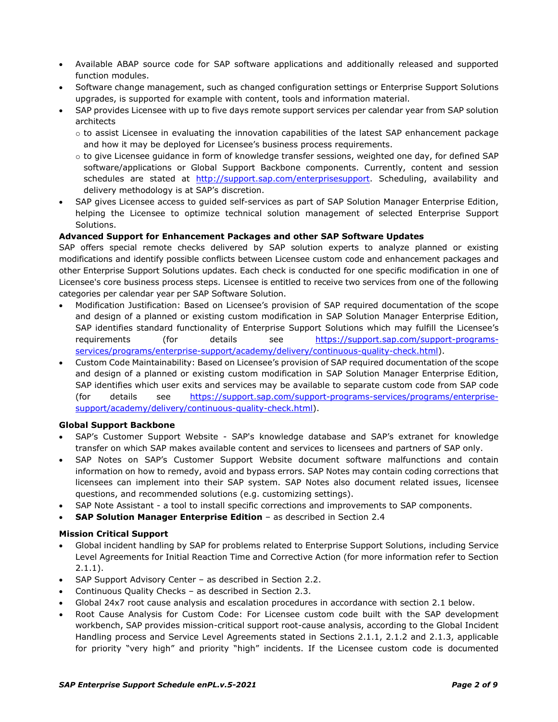- Available ABAP source code for SAP software applications and additionally released and supported function modules.
- Software change management, such as changed configuration settings or Enterprise Support Solutions upgrades, is supported for example with content, tools and information material.
- SAP provides Licensee with up to five days remote support services per calendar year from SAP solution architects
	- o to assist Licensee in evaluating the innovation capabilities of the latest SAP enhancement package and how it may be deployed for Licensee's business process requirements.
	- o to give Licensee guidance in form of knowledge transfer sessions, weighted one day, for defined SAP software/applications or Global Support Backbone components. Currently, content and session schedules are stated at [http://support.sap.com/enterprisesupport.](http://support.sap.com/enterprisesupport) Scheduling, availability and delivery methodology is at SAP's discretion.
- SAP gives Licensee access to guided self-services as part of SAP Solution Manager Enterprise Edition, helping the Licensee to optimize technical solution management of selected Enterprise Support Solutions.

### **Advanced Support for Enhancement Packages and other SAP Software Updates**

SAP offers special remote checks delivered by SAP solution experts to analyze planned or existing modifications and identify possible conflicts between Licensee custom code and enhancement packages and other Enterprise Support Solutions updates. Each check is conducted for one specific modification in one of Licensee's core business process steps. Licensee is entitled to receive two services from one of the following categories per calendar year per SAP Software Solution.

- Modification Justification: Based on Licensee's provision of SAP required documentation of the scope and design of a planned or existing custom modification in SAP Solution Manager Enterprise Edition, SAP identifies standard functionality of Enterprise Support Solutions which may fulfill the Licensee's requirements (for details see [https://support.sap.com/support-programs](https://support.sap.com/support-programs-services/programs/enterprise-support/academy/delivery/continuous-quality-check.html)[services/programs/enterprise-support/academy/delivery/continuous-quality-check.html\)](https://support.sap.com/support-programs-services/programs/enterprise-support/academy/delivery/continuous-quality-check.html).
- Custom Code Maintainability: Based on Licensee's provision of SAP required documentation of the scope and design of a planned or existing custom modification in SAP Solution Manager Enterprise Edition, SAP identifies which user exits and services may be available to separate custom code from SAP code (for details see [https://support.sap.com/support-programs-services/programs/enterprise](https://support.sap.com/support-programs-services/programs/enterprise-support/academy/delivery/continuous-quality-check.html)[support/academy/delivery/continuous-quality-check.html\)](https://support.sap.com/support-programs-services/programs/enterprise-support/academy/delivery/continuous-quality-check.html).

### **Global Support Backbone**

- SAP's Customer Support Website SAP's knowledge database and SAP's extranet for knowledge transfer on which SAP makes available content and services to licensees and partners of SAP only.
- SAP Notes on SAP's Customer Support Website document software malfunctions and contain information on how to remedy, avoid and bypass errors. SAP Notes may contain coding corrections that licensees can implement into their SAP system. SAP Notes also document related issues, licensee questions, and recommended solutions (e.g. customizing settings).
- SAP Note Assistant a tool to install specific corrections and improvements to SAP components.
- **SAP Solution Manager Enterprise Edition** as described in Section 2.4

### **Mission Critical Support**

- Global incident handling by SAP for problems related to Enterprise Support Solutions, including Service Level Agreements for Initial Reaction Time and Corrective Action (for more information refer to Section 2.1.1).
- SAP Support Advisory Center as described in Section 2.2.
- Continuous Quality Checks as described in Section 2.3.
- Global 24x7 root cause analysis and escalation procedures in accordance with section 2.1 below.
- Root Cause Analysis for Custom Code: For Licensee custom code built with the SAP development workbench, SAP provides mission-critical support root-cause analysis, according to the Global Incident Handling process and Service Level Agreements stated in Sections 2.1.1, 2.1.2 and 2.1.3, applicable for priority "very high" and priority "high" incidents. If the Licensee custom code is documented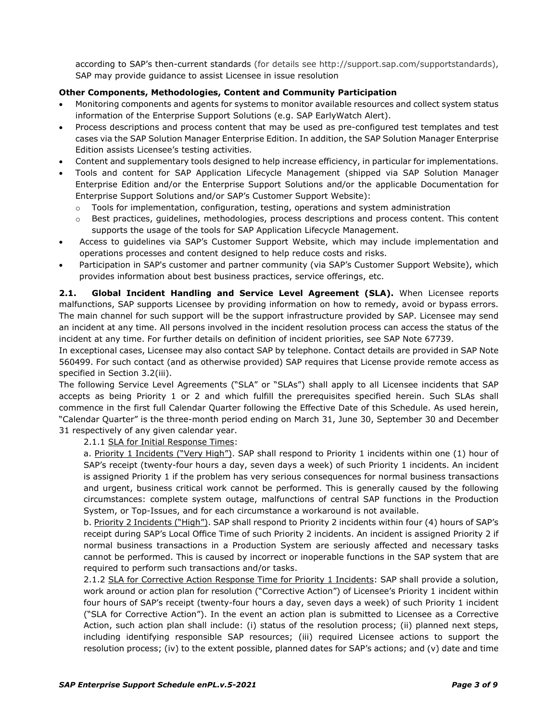according to SAP's then-current standards (for details see http://support.sap.com/supportstandards), SAP may provide guidance to assist Licensee in issue resolution

### **Other Components, Methodologies, Content and Community Participation**

- Monitoring components and agents for systems to monitor available resources and collect system status information of the Enterprise Support Solutions (e.g. SAP EarlyWatch Alert).
- Process descriptions and process content that may be used as pre-configured test templates and test cases via the SAP Solution Manager Enterprise Edition. In addition, the SAP Solution Manager Enterprise Edition assists Licensee's testing activities.
- Content and supplementary tools designed to help increase efficiency, in particular for implementations.
- Tools and content for SAP Application Lifecycle Management (shipped via SAP Solution Manager Enterprise Edition and/or the Enterprise Support Solutions and/or the applicable Documentation for Enterprise Support Solutions and/or SAP's Customer Support Website):
	- $\circ$  Tools for implementation, configuration, testing, operations and system administration
	- Best practices, guidelines, methodologies, process descriptions and process content. This content supports the usage of the tools for SAP Application Lifecycle Management.
- Access to guidelines via SAP's Customer Support Website, which may include implementation and operations processes and content designed to help reduce costs and risks.
- Participation in SAP's customer and partner community (via SAP's Customer Support Website), which provides information about best business practices, service offerings, etc.

**2.1. Global Incident Handling and Service Level Agreement (SLA).** When Licensee reports malfunctions, SAP supports Licensee by providing information on how to remedy, avoid or bypass errors. The main channel for such support will be the support infrastructure provided by SAP. Licensee may send an incident at any time. All persons involved in the incident resolution process can access the status of the incident at any time. For further details on definition of incident priorities, see SAP Note 67739.

In exceptional cases, Licensee may also contact SAP by telephone. Contact details are provided in SAP Note 560499. For such contact (and as otherwise provided) SAP requires that License provide remote access as specified in Section 3.2(iii).

The following Service Level Agreements ("SLA" or "SLAs") shall apply to all Licensee incidents that SAP accepts as being Priority 1 or 2 and which fulfill the prerequisites specified herein. Such SLAs shall commence in the first full Calendar Quarter following the Effective Date of this Schedule. As used herein, "Calendar Quarter" is the three-month period ending on March 31, June 30, September 30 and December 31 respectively of any given calendar year.

2.1.1 SLA for Initial Response Times:

a. Priority 1 Incidents ("Very High"). SAP shall respond to Priority 1 incidents within one (1) hour of SAP's receipt (twenty-four hours a day, seven days a week) of such Priority 1 incidents. An incident is assigned Priority 1 if the problem has very serious consequences for normal business transactions and urgent, business critical work cannot be performed. This is generally caused by the following circumstances: complete system outage, malfunctions of central SAP functions in the Production System, or Top-Issues, and for each circumstance a workaround is not available.

b. Priority 2 Incidents ("High"). SAP shall respond to Priority 2 incidents within four (4) hours of SAP's receipt during SAP's Local Office Time of such Priority 2 incidents. An incident is assigned Priority 2 if normal business transactions in a Production System are seriously affected and necessary tasks cannot be performed. This is caused by incorrect or inoperable functions in the SAP system that are required to perform such transactions and/or tasks.

2.1.2 SLA for Corrective Action Response Time for Priority 1 Incidents: SAP shall provide a solution, work around or action plan for resolution ("Corrective Action") of Licensee's Priority 1 incident within four hours of SAP's receipt (twenty-four hours a day, seven days a week) of such Priority 1 incident ("SLA for Corrective Action"). In the event an action plan is submitted to Licensee as a Corrective Action, such action plan shall include: (i) status of the resolution process; (ii) planned next steps, including identifying responsible SAP resources; (iii) required Licensee actions to support the resolution process; (iv) to the extent possible, planned dates for SAP's actions; and (v) date and time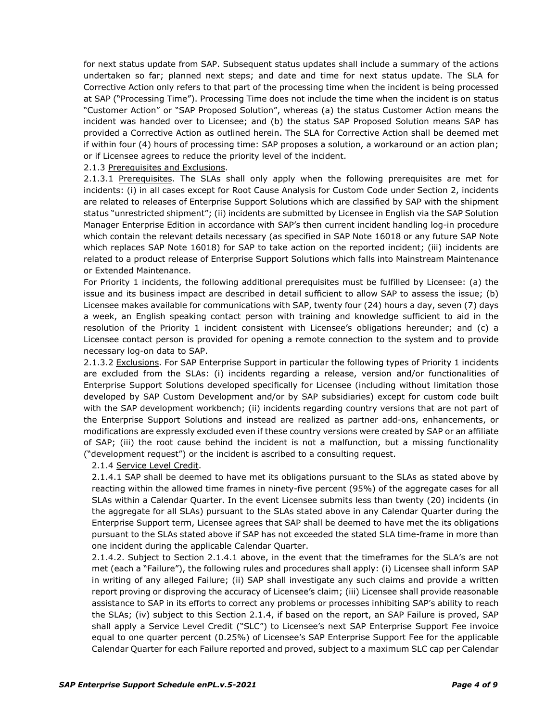for next status update from SAP. Subsequent status updates shall include a summary of the actions undertaken so far; planned next steps; and date and time for next status update. The SLA for Corrective Action only refers to that part of the processing time when the incident is being processed at SAP ("Processing Time"). Processing Time does not include the time when the incident is on status "Customer Action" or "SAP Proposed Solution", whereas (a) the status Customer Action means the incident was handed over to Licensee; and (b) the status SAP Proposed Solution means SAP has provided a Corrective Action as outlined herein. The SLA for Corrective Action shall be deemed met if within four (4) hours of processing time: SAP proposes a solution, a workaround or an action plan; or if Licensee agrees to reduce the priority level of the incident.

#### 2.1.3 Prerequisites and Exclusions.

2.1.3.1 Prerequisites. The SLAs shall only apply when the following prerequisites are met for incidents: (i) in all cases except for Root Cause Analysis for Custom Code under Section 2, incidents are related to releases of Enterprise Support Solutions which are classified by SAP with the shipment status "unrestricted shipment"; (ii) incidents are submitted by Licensee in English via the SAP Solution Manager Enterprise Edition in accordance with SAP's then current incident handling log-in procedure which contain the relevant details necessary (as specified in SAP Note 16018 or any future SAP Note which replaces SAP Note 16018) for SAP to take action on the reported incident; (iii) incidents are related to a product release of Enterprise Support Solutions which falls into Mainstream Maintenance or Extended Maintenance.

For Priority 1 incidents, the following additional prerequisites must be fulfilled by Licensee: (a) the issue and its business impact are described in detail sufficient to allow SAP to assess the issue; (b) Licensee makes available for communications with SAP, twenty four (24) hours a day, seven (7) days a week, an English speaking contact person with training and knowledge sufficient to aid in the resolution of the Priority 1 incident consistent with Licensee's obligations hereunder; and (c) a Licensee contact person is provided for opening a remote connection to the system and to provide necessary log-on data to SAP.

2.1.3.2 Exclusions. For SAP Enterprise Support in particular the following types of Priority 1 incidents are excluded from the SLAs: (i) incidents regarding a release, version and/or functionalities of Enterprise Support Solutions developed specifically for Licensee (including without limitation those developed by SAP Custom Development and/or by SAP subsidiaries) except for custom code built with the SAP development workbench; (ii) incidents regarding country versions that are not part of the Enterprise Support Solutions and instead are realized as partner add-ons, enhancements, or modifications are expressly excluded even if these country versions were created by SAP or an affiliate of SAP; (iii) the root cause behind the incident is not a malfunction, but a missing functionality ("development request") or the incident is ascribed to a consulting request.

#### 2.1.4 Service Level Credit.

2.1.4.1 SAP shall be deemed to have met its obligations pursuant to the SLAs as stated above by reacting within the allowed time frames in ninety-five percent (95%) of the aggregate cases for all SLAs within a Calendar Quarter. In the event Licensee submits less than twenty (20) incidents (in the aggregate for all SLAs) pursuant to the SLAs stated above in any Calendar Quarter during the Enterprise Support term, Licensee agrees that SAP shall be deemed to have met the its obligations pursuant to the SLAs stated above if SAP has not exceeded the stated SLA time-frame in more than one incident during the applicable Calendar Quarter.

2.1.4.2. Subject to Section 2.1.4.1 above, in the event that the timeframes for the SLA's are not met (each a "Failure"), the following rules and procedures shall apply: (i) Licensee shall inform SAP in writing of any alleged Failure; (ii) SAP shall investigate any such claims and provide a written report proving or disproving the accuracy of Licensee's claim; (iii) Licensee shall provide reasonable assistance to SAP in its efforts to correct any problems or processes inhibiting SAP's ability to reach the SLAs; (iv) subject to this Section 2.1.4, if based on the report, an SAP Failure is proved, SAP shall apply a Service Level Credit ("SLC") to Licensee's next SAP Enterprise Support Fee invoice equal to one quarter percent (0.25%) of Licensee's SAP Enterprise Support Fee for the applicable Calendar Quarter for each Failure reported and proved, subject to a maximum SLC cap per Calendar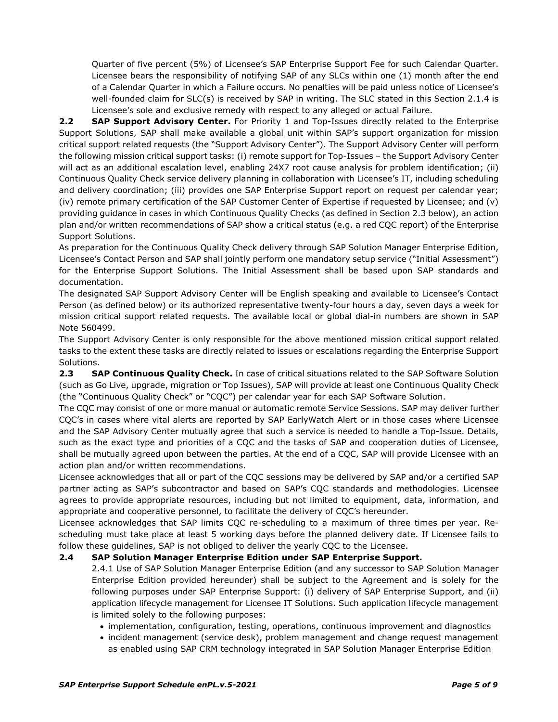Quarter of five percent (5%) of Licensee's SAP Enterprise Support Fee for such Calendar Quarter. Licensee bears the responsibility of notifying SAP of any SLCs within one (1) month after the end of a Calendar Quarter in which a Failure occurs. No penalties will be paid unless notice of Licensee's well-founded claim for SLC(s) is received by SAP in writing. The SLC stated in this Section 2.1.4 is Licensee's sole and exclusive remedy with respect to any alleged or actual Failure.

**2.2 SAP Support Advisory Center.** For Priority 1 and Top-Issues directly related to the Enterprise Support Solutions, SAP shall make available a global unit within SAP's support organization for mission critical support related requests (the "Support Advisory Center"). The Support Advisory Center will perform the following mission critical support tasks: (i) remote support for Top-Issues – the Support Advisory Center will act as an additional escalation level, enabling 24X7 root cause analysis for problem identification; (ii) Continuous Quality Check service delivery planning in collaboration with Licensee's IT, including scheduling and delivery coordination; (iii) provides one SAP Enterprise Support report on request per calendar year; (iv) remote primary certification of the SAP Customer Center of Expertise if requested by Licensee; and (v) providing guidance in cases in which Continuous Quality Checks (as defined in Section 2.3 below), an action plan and/or written recommendations of SAP show a critical status (e.g. a red CQC report) of the Enterprise Support Solutions.

As preparation for the Continuous Quality Check delivery through SAP Solution Manager Enterprise Edition, Licensee's Contact Person and SAP shall jointly perform one mandatory setup service ("Initial Assessment") for the Enterprise Support Solutions. The Initial Assessment shall be based upon SAP standards and documentation.

The designated SAP Support Advisory Center will be English speaking and available to Licensee's Contact Person (as defined below) or its authorized representative twenty-four hours a day, seven days a week for mission critical support related requests. The available local or global dial-in numbers are shown in SAP Note 560499.

The Support Advisory Center is only responsible for the above mentioned mission critical support related tasks to the extent these tasks are directly related to issues or escalations regarding the Enterprise Support Solutions.

**2.3 SAP Continuous Quality Check.** In case of critical situations related to the SAP Software Solution (such as Go Live, upgrade, migration or Top Issues), SAP will provide at least one Continuous Quality Check (the "Continuous Quality Check" or "CQC") per calendar year for each SAP Software Solution.

The CQC may consist of one or more manual or automatic remote Service Sessions. SAP may deliver further CQC's in cases where vital alerts are reported by SAP EarlyWatch Alert or in those cases where Licensee and the SAP Advisory Center mutually agree that such a service is needed to handle a Top-Issue. Details, such as the exact type and priorities of a CQC and the tasks of SAP and cooperation duties of Licensee, shall be mutually agreed upon between the parties. At the end of a CQC, SAP will provide Licensee with an action plan and/or written recommendations.

Licensee acknowledges that all or part of the CQC sessions may be delivered by SAP and/or a certified SAP partner acting as SAP's subcontractor and based on SAP's CQC standards and methodologies. Licensee agrees to provide appropriate resources, including but not limited to equipment, data, information, and appropriate and cooperative personnel, to facilitate the delivery of CQC's hereunder.

Licensee acknowledges that SAP limits CQC re-scheduling to a maximum of three times per year. Rescheduling must take place at least 5 working days before the planned delivery date. If Licensee fails to follow these guidelines, SAP is not obliged to deliver the yearly CQC to the Licensee.

# **2.4 SAP Solution Manager Enterprise Edition under SAP Enterprise Support.**

2.4.1 Use of SAP Solution Manager Enterprise Edition (and any successor to SAP Solution Manager Enterprise Edition provided hereunder) shall be subject to the Agreement and is solely for the following purposes under SAP Enterprise Support: (i) delivery of SAP Enterprise Support, and (ii) application lifecycle management for Licensee IT Solutions. Such application lifecycle management is limited solely to the following purposes:

- implementation, configuration, testing, operations, continuous improvement and diagnostics
- incident management (service desk), problem management and change request management as enabled using SAP CRM technology integrated in SAP Solution Manager Enterprise Edition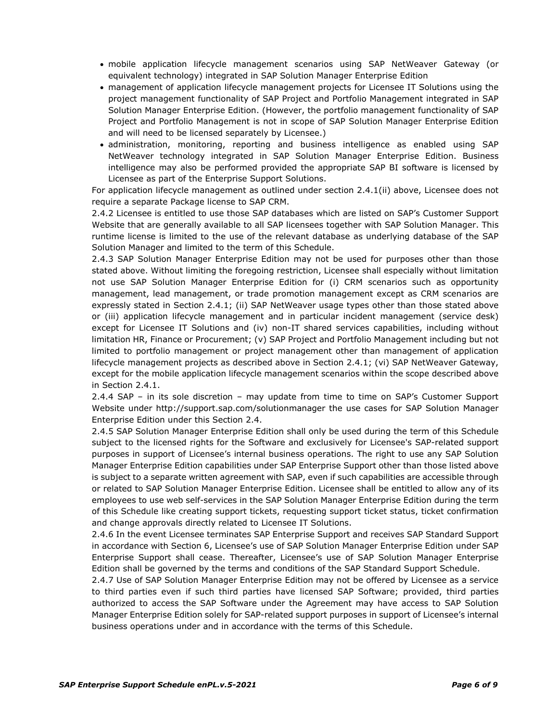- mobile application lifecycle management scenarios using SAP NetWeaver Gateway (or equivalent technology) integrated in SAP Solution Manager Enterprise Edition
- management of application lifecycle management projects for Licensee IT Solutions using the project management functionality of SAP Project and Portfolio Management integrated in SAP Solution Manager Enterprise Edition. (However, the portfolio management functionality of SAP Project and Portfolio Management is not in scope of SAP Solution Manager Enterprise Edition and will need to be licensed separately by Licensee.)
- administration, monitoring, reporting and business intelligence as enabled using SAP NetWeaver technology integrated in SAP Solution Manager Enterprise Edition. Business intelligence may also be performed provided the appropriate SAP BI software is licensed by Licensee as part of the Enterprise Support Solutions.

For application lifecycle management as outlined under section 2.4.1(ii) above, Licensee does not require a separate Package license to SAP CRM.

2.4.2 Licensee is entitled to use those SAP databases which are listed on SAP's Customer Support Website that are generally available to all SAP licensees together with SAP Solution Manager. This runtime license is limited to the use of the relevant database as underlying database of the SAP Solution Manager and limited to the term of this Schedule.

2.4.3 SAP Solution Manager Enterprise Edition may not be used for purposes other than those stated above. Without limiting the foregoing restriction, Licensee shall especially without limitation not use SAP Solution Manager Enterprise Edition for (i) CRM scenarios such as opportunity management, lead management, or trade promotion management except as CRM scenarios are expressly stated in Section 2.4.1; (ii) SAP NetWeaver usage types other than those stated above or (iii) application lifecycle management and in particular incident management (service desk) except for Licensee IT Solutions and (iv) non-IT shared services capabilities, including without limitation HR, Finance or Procurement; (v) SAP Project and Portfolio Management including but not limited to portfolio management or project management other than management of application lifecycle management projects as described above in Section 2.4.1; (vi) SAP NetWeaver Gateway, except for the mobile application lifecycle management scenarios within the scope described above in Section 2.4.1.

2.4.4 SAP – in its sole discretion – may update from time to time on SAP's Customer Support Website under http://support.sap.com/solutionmanager the use cases for SAP Solution Manager Enterprise Edition under this Section 2.4.

2.4.5 SAP Solution Manager Enterprise Edition shall only be used during the term of this Schedule subject to the licensed rights for the Software and exclusively for Licensee's SAP-related support purposes in support of Licensee's internal business operations. The right to use any SAP Solution Manager Enterprise Edition capabilities under SAP Enterprise Support other than those listed above is subject to a separate written agreement with SAP, even if such capabilities are accessible through or related to SAP Solution Manager Enterprise Edition. Licensee shall be entitled to allow any of its employees to use web self-services in the SAP Solution Manager Enterprise Edition during the term of this Schedule like creating support tickets, requesting support ticket status, ticket confirmation and change approvals directly related to Licensee IT Solutions.

2.4.6 In the event Licensee terminates SAP Enterprise Support and receives SAP Standard Support in accordance with Section 6, Licensee's use of SAP Solution Manager Enterprise Edition under SAP Enterprise Support shall cease. Thereafter, Licensee's use of SAP Solution Manager Enterprise Edition shall be governed by the terms and conditions of the SAP Standard Support Schedule.

2.4.7 Use of SAP Solution Manager Enterprise Edition may not be offered by Licensee as a service to third parties even if such third parties have licensed SAP Software; provided, third parties authorized to access the SAP Software under the Agreement may have access to SAP Solution Manager Enterprise Edition solely for SAP-related support purposes in support of Licensee's internal business operations under and in accordance with the terms of this Schedule.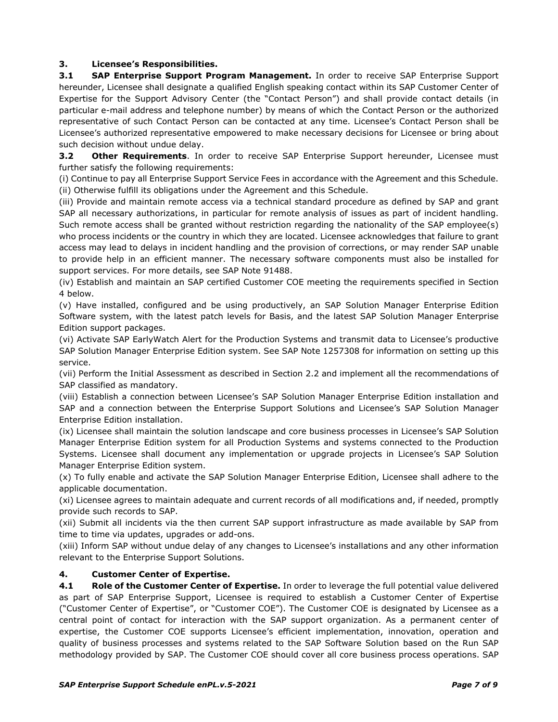# **3. Licensee's Responsibilities.**

**3.1 SAP Enterprise Support Program Management.** In order to receive SAP Enterprise Support hereunder, Licensee shall designate a qualified English speaking contact within its SAP Customer Center of Expertise for the Support Advisory Center (the "Contact Person") and shall provide contact details (in particular e-mail address and telephone number) by means of which the Contact Person or the authorized representative of such Contact Person can be contacted at any time. Licensee's Contact Person shall be Licensee's authorized representative empowered to make necessary decisions for Licensee or bring about such decision without undue delay.

**3.2 Other Requirements**. In order to receive SAP Enterprise Support hereunder, Licensee must further satisfy the following requirements:

(i) Continue to pay all Enterprise Support Service Fees in accordance with the Agreement and this Schedule. (ii) Otherwise fulfill its obligations under the Agreement and this Schedule.

(iii) Provide and maintain remote access via a technical standard procedure as defined by SAP and grant SAP all necessary authorizations, in particular for remote analysis of issues as part of incident handling. Such remote access shall be granted without restriction regarding the nationality of the SAP employee(s) who process incidents or the country in which they are located. Licensee acknowledges that failure to grant access may lead to delays in incident handling and the provision of corrections, or may render SAP unable to provide help in an efficient manner. The necessary software components must also be installed for support services. For more details, see SAP Note 91488.

(iv) Establish and maintain an SAP certified Customer COE meeting the requirements specified in Section 4 below.

(v) Have installed, configured and be using productively, an SAP Solution Manager Enterprise Edition Software system, with the latest patch levels for Basis, and the latest SAP Solution Manager Enterprise Edition support packages.

(vi) Activate SAP EarlyWatch Alert for the Production Systems and transmit data to Licensee's productive SAP Solution Manager Enterprise Edition system. See SAP Note 1257308 for information on setting up this service.

(vii) Perform the Initial Assessment as described in Section 2.2 and implement all the recommendations of SAP classified as mandatory.

(viii) Establish a connection between Licensee's SAP Solution Manager Enterprise Edition installation and SAP and a connection between the Enterprise Support Solutions and Licensee's SAP Solution Manager Enterprise Edition installation.

(ix) Licensee shall maintain the solution landscape and core business processes in Licensee's SAP Solution Manager Enterprise Edition system for all Production Systems and systems connected to the Production Systems. Licensee shall document any implementation or upgrade projects in Licensee's SAP Solution Manager Enterprise Edition system.

(x) To fully enable and activate the SAP Solution Manager Enterprise Edition, Licensee shall adhere to the applicable documentation.

(xi) Licensee agrees to maintain adequate and current records of all modifications and, if needed, promptly provide such records to SAP.

(xii) Submit all incidents via the then current SAP support infrastructure as made available by SAP from time to time via updates, upgrades or add-ons.

(xiii) Inform SAP without undue delay of any changes to Licensee's installations and any other information relevant to the Enterprise Support Solutions.

# **4. Customer Center of Expertise.**

**4.1 Role of the Customer Center of Expertise.** In order to leverage the full potential value delivered as part of SAP Enterprise Support, Licensee is required to establish a Customer Center of Expertise ("Customer Center of Expertise", or "Customer COE"). The Customer COE is designated by Licensee as a central point of contact for interaction with the SAP support organization. As a permanent center of expertise, the Customer COE supports Licensee's efficient implementation, innovation, operation and quality of business processes and systems related to the SAP Software Solution based on the Run SAP methodology provided by SAP. The Customer COE should cover all core business process operations. SAP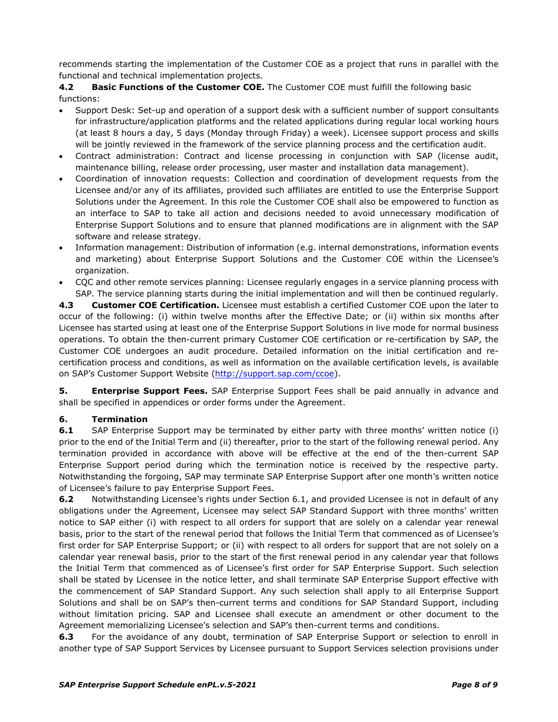recommends starting the implementation of the Customer COE as a project that runs in parallel with the functional and technical implementation projects.

**4.2 Basic Functions of the Customer COE.** The Customer COE must fulfill the following basic functions:

- Support Desk: Set-up and operation of a support desk with a sufficient number of support consultants for infrastructure/application platforms and the related applications during regular local working hours (at least 8 hours a day, 5 days (Monday through Friday) a week). Licensee support process and skills will be jointly reviewed in the framework of the service planning process and the certification audit.
- Contract administration: Contract and license processing in conjunction with SAP (license audit, maintenance billing, release order processing, user master and installation data management).
- Coordination of innovation requests: Collection and coordination of development requests from the Licensee and/or any of its affiliates, provided such affiliates are entitled to use the Enterprise Support Solutions under the Agreement. In this role the Customer COE shall also be empowered to function as an interface to SAP to take all action and decisions needed to avoid unnecessary modification of Enterprise Support Solutions and to ensure that planned modifications are in alignment with the SAP software and release strategy.
- Information management: Distribution of information (e.g. internal demonstrations, information events and marketing) about Enterprise Support Solutions and the Customer COE within the Licensee's organization.
- CQC and other remote services planning: Licensee regularly engages in a service planning process with SAP. The service planning starts during the initial implementation and will then be continued regularly.

**4.3 Customer COE Certification.** Licensee must establish a certified Customer COE upon the later to occur of the following: (i) within twelve months after the Effective Date; or (ii) within six months after Licensee has started using at least one of the Enterprise Support Solutions in live mode for normal business operations. To obtain the then-current primary Customer COE certification or re-certification by SAP, the Customer COE undergoes an audit procedure. Detailed information on the initial certification and recertification process and conditions, as well as information on the available certification levels, is available on SAP's Customer Support Website [\(http://support.sap.com/ccoe\)](http://support.sap.com/ccoe).

**5. Enterprise Support Fees.** SAP Enterprise Support Fees shall be paid annually in advance and shall be specified in appendices or order forms under the Agreement.

# **6. Termination**

**6.1** SAP Enterprise Support may be terminated by either party with three months' written notice (i) prior to the end of the Initial Term and (ii) thereafter, prior to the start of the following renewal period. Any termination provided in accordance with above will be effective at the end of the then-current SAP Enterprise Support period during which the termination notice is received by the respective party. Notwithstanding the forgoing, SAP may terminate SAP Enterprise Support after one month's written notice of Licensee's failure to pay Enterprise Support Fees.

**6.2** Notwithstanding Licensee's rights under Section 6.1, and provided Licensee is not in default of any obligations under the Agreement, Licensee may select SAP Standard Support with three months' written notice to SAP either (i) with respect to all orders for support that are solely on a calendar year renewal basis, prior to the start of the renewal period that follows the Initial Term that commenced as of Licensee's first order for SAP Enterprise Support; or (ii) with respect to all orders for support that are not solely on a calendar year renewal basis, prior to the start of the first renewal period in any calendar year that follows the Initial Term that commenced as of Licensee's first order for SAP Enterprise Support. Such selection shall be stated by Licensee in the notice letter, and shall terminate SAP Enterprise Support effective with the commencement of SAP Standard Support. Any such selection shall apply to all Enterprise Support Solutions and shall be on SAP's then-current terms and conditions for SAP Standard Support, including without limitation pricing. SAP and Licensee shall execute an amendment or other document to the Agreement memorializing Licensee's selection and SAP's then-current terms and conditions.

**6.3** For the avoidance of any doubt, termination of SAP Enterprise Support or selection to enroll in another type of SAP Support Services by Licensee pursuant to Support Services selection provisions under